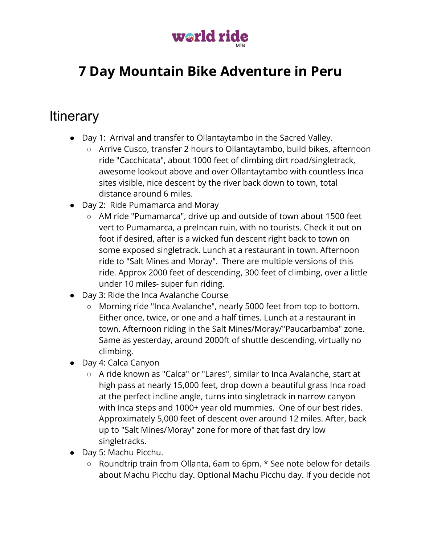

# **7 Day Mountain Bike Adventure in Peru**

## **Itinerary**

- Day 1: Arrival and transfer to Ollantaytambo in the Sacred Valley.
	- Arrive Cusco, transfer 2 hours to Ollantaytambo, build bikes, afternoon ride "Cacchicata", about 1000 feet of climbing dirt road/singletrack, awesome lookout above and over Ollantaytambo with countless Inca sites visible, nice descent by the river back down to town, total distance around 6 miles.
- Day 2: Ride Pumamarca and Moray
	- AM ride "Pumamarca", drive up and outside of town about 1500 feet vert to Pumamarca, a preIncan ruin, with no tourists. Check it out on foot if desired, after is a wicked fun descent right back to town on some exposed singletrack. Lunch at a restaurant in town. Afternoon ride to "Salt Mines and Moray". There are multiple versions of this ride. Approx 2000 feet of descending, 300 feet of climbing, over a little under 10 miles- super fun riding.
- Day 3: Ride the Inca Avalanche Course
	- Morning ride "Inca Avalanche", nearly 5000 feet from top to bottom. Either once, twice, or one and a half times. Lunch at a restaurant in town. Afternoon riding in the Salt Mines/Moray/"Paucarbamba" zone. Same as yesterday, around 2000ft of shuttle descending, virtually no climbing.
- Day 4: Calca Canyon
	- A ride known as "Calca" or "Lares", similar to Inca Avalanche, start at high pass at nearly 15,000 feet, drop down a beautiful grass Inca road at the perfect incline angle, turns into singletrack in narrow canyon with Inca steps and 1000+ year old mummies. One of our best rides. Approximately 5,000 feet of descent over around 12 miles. After, back up to "Salt Mines/Moray" zone for more of that fast dry low singletracks.
- Day 5: Machu Picchu.
	- Roundtrip train from Ollanta, 6am to 6pm. \* See note below for details about Machu Picchu day. Optional Machu Picchu day. If you decide not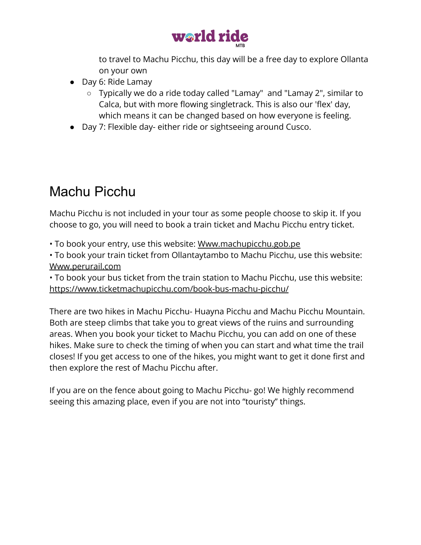

to travel to Machu Picchu, this day will be a free day to explore Ollanta on your own

- Day 6: Ride Lamay
	- Typically we do a ride today called "Lamay" and "Lamay 2", similar to Calca, but with more flowing singletrack. This is also our 'flex' day, which means it can be changed based on how everyone is feeling.
- Day 7: Flexible day- either ride or sightseeing around Cusco.

# Machu Picchu

Machu Picchu is not included in your tour as some people choose to skip it. If you choose to go, you will need to book a train ticket and Machu Picchu entry ticket.

• To book your entry, use this website: [Www.machupicchu.gob.pe](http://www.machupicchu.gob.pe/)

• To book your train ticket from Ollantaytambo to Machu Picchu, use this website: [Www.perurail.com](http://www.perurail.com/)

• To book your bus ticket from the train station to Machu Picchu, use this website: <https://www.ticketmachupicchu.com/book-bus-machu-picchu/>

There are two hikes in Machu Picchu- Huayna Picchu and Machu Picchu Mountain. Both are steep climbs that take you to great views of the ruins and surrounding areas. When you book your ticket to Machu Picchu, you can add on one of these hikes. Make sure to check the timing of when you can start and what time the trail closes! If you get access to one of the hikes, you might want to get it done first and then explore the rest of Machu Picchu after.

If you are on the fence about going to Machu Picchu- go! We highly recommend seeing this amazing place, even if you are not into "touristy" things.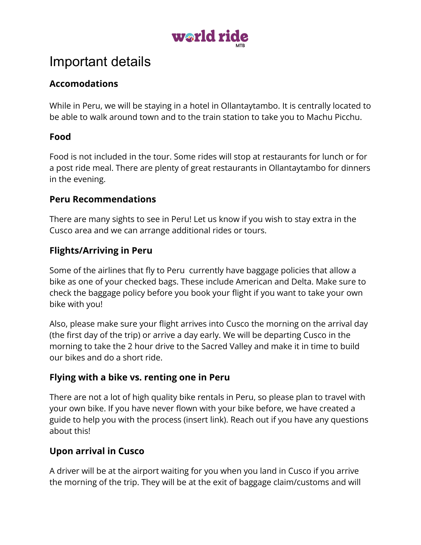

## Important details

### **Accomodations**

While in Peru, we will be staying in a hotel in Ollantaytambo. It is centrally located to be able to walk around town and to the train station to take you to Machu Picchu.

### **Food**

Food is not included in the tour. Some rides will stop at restaurants for lunch or for a post ride meal. There are plenty of great restaurants in Ollantaytambo for dinners in the evening.

#### **Peru Recommendations**

There are many sights to see in Peru! Let us know if you wish to stay extra in the Cusco area and we can arrange additional rides or tours.

### **Flights/Arriving in Peru**

Some of the airlines that fly to Peru currently have baggage policies that allow a bike as one of your checked bags. These include American and Delta. Make sure to check the baggage policy before you book your flight if you want to take your own bike with you!

Also, please make sure your flight arrives into Cusco the morning on the arrival day (the first day of the trip) or arrive a day early. We will be departing Cusco in the morning to take the 2 hour drive to the Sacred Valley and make it in time to build our bikes and do a short ride.

### **Flying with a bike vs. renting one in Peru**

There are not a lot of high quality bike rentals in Peru, so please plan to travel with your own bike. If you have never flown with your bike before, we have created a guide to help you with the process (insert link). Reach out if you have any questions about this!

## **Upon arrival in Cusco**

A driver will be at the airport waiting for you when you land in Cusco if you arrive the morning of the trip. They will be at the exit of baggage claim/customs and will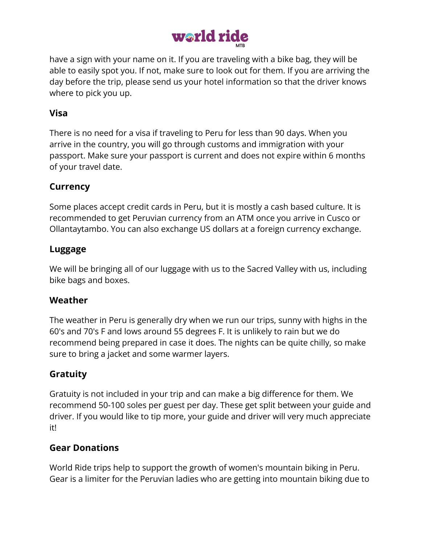

have a sign with your name on it. If you are traveling with a bike bag, they will be able to easily spot you. If not, make sure to look out for them. If you are arriving the day before the trip, please send us your hotel information so that the driver knows where to pick you up.

#### **Visa**

There is no need for a visa if traveling to Peru for less than 90 days. When you arrive in the country, you will go through customs and immigration with your passport. Make sure your passport is current and does not expire within 6 months of your travel date.

#### **Currency**

Some places accept credit cards in Peru, but it is mostly a cash based culture. It is recommended to get Peruvian currency from an ATM once you arrive in Cusco or Ollantaytambo. You can also exchange US dollars at a foreign currency exchange.

#### **Luggage**

We will be bringing all of our luggage with us to the Sacred Valley with us, including bike bags and boxes.

#### **Weather**

The weather in Peru is generally dry when we run our trips, sunny with highs in the 60's and 70's F and lows around 55 degrees F. It is unlikely to rain but we do recommend being prepared in case it does. The nights can be quite chilly, so make sure to bring a jacket and some warmer layers.

### **Gratuity**

Gratuity is not included in your trip and can make a big difference for them. We recommend 50-100 soles per guest per day. These get split between your guide and driver. If you would like to tip more, your guide and driver will very much appreciate it!

#### **Gear Donations**

World Ride trips help to support the growth of women's mountain biking in Peru. Gear is a limiter for the Peruvian ladies who are getting into mountain biking due to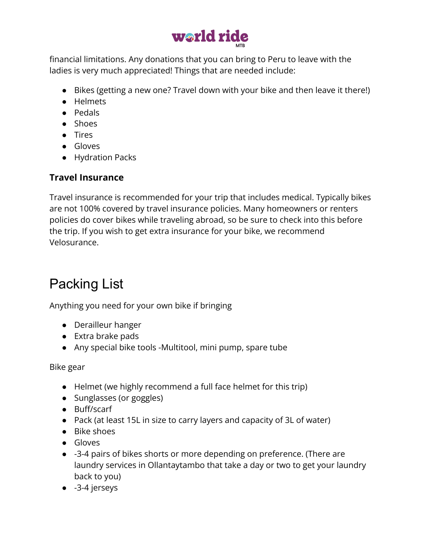

financial limitations. Any donations that you can bring to Peru to leave with the ladies is very much appreciated! Things that are needed include:

- Bikes (getting a new one? Travel down with your bike and then leave it there!)
- Helmets
- Pedals
- Shoes
- Tires
- Gloves
- Hydration Packs

## **Travel Insurance**

Travel insurance is recommended for your trip that includes medical. Typically bikes are not 100% covered by travel insurance policies. Many homeowners or renters policies do cover bikes while traveling abroad, so be sure to check into this before the trip. If you wish to get extra insurance for your bike, we recommend [Velosurance.](https://velosurance.com/)

# Packing List

Anything you need for your own bike if bringing

- Derailleur hanger
- Extra brake pads
- Any special bike tools -Multitool, mini pump, spare tube

Bike gear

- Helmet (we highly recommend a full face helmet for this trip)
- Sunglasses (or goggles)
- Buff/scarf
- Pack (at least 15L in size to carry layers and capacity of 3L of water)
- Bike shoes
- Gloves
- -3-4 pairs of bikes shorts or more depending on preference. (There are laundry services in Ollantaytambo that take a day or two to get your laundry back to you)
- -3-4 jerseys